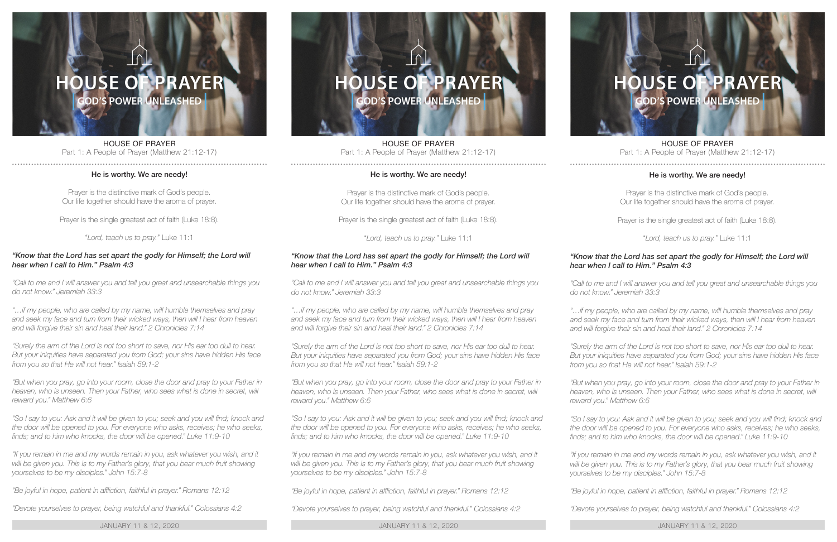## **USE OF PRAYER GOD'S POWER UNLEASHED**

HOUSE OF PRAYER Part 1: A People of Prayer (Matthew 21:12-17)

## He is worthy. We are needy!

Prayer is the distinctive mark of God's people. Our life together should have the aroma of prayer.

Prayer is the single greatest act of faith (Luke 18:8).

"*Lord, teach us to pray.*" Luke 11:1

## *"Know that the Lord has set apart the godly for Himself; the Lord will hear when I call to Him." Psalm 4:3*

*"Call to me and I will answer you and tell you great and unsearchable things you do not know." Jeremiah 33:3*

*"…if my people, who are called by my name, will humble themselves and pray and seek my face and turn from their wicked ways, then will I hear from heaven and will forgive their sin and heal their land." 2 Chronicles 7:14*

*"Surely the arm of the Lord is not too short to save, nor His ear too dull to hear. But your iniquities have separated you from God; your sins have hidden His face from you so that He will not hear." Isaiah 59:1-2*

*"But when you pray, go into your room, close the door and pray to your Father in*  heaven, who is unseen. Then your Father, who sees what is done in secret, will *reward you." Matthew 6:6*

"So I say to you: Ask and it will be given to you; seek and you will find; knock and *the door will be opened to you. For everyone who asks, receives; he who seeks, finds; and to him who knocks, the door will be opened." Luke 11:9-10*

*"If you remain in me and my words remain in you, ask whatever you wish, and it*  will be given you. This is to my Father's glory, that you bear much fruit showing *yourselves to be my disciples." John 15:7-8*

*"Be joyful in hope, patient in affliction, faithful in prayer." Romans 12:12*

*"Devote yourselves to prayer, being watchful and thankful." Colossians 4:2*

JANUARY 11 & 12, 2020 JANUARY 11 & 12, 2020 JANUARY 11 & 12, 2020